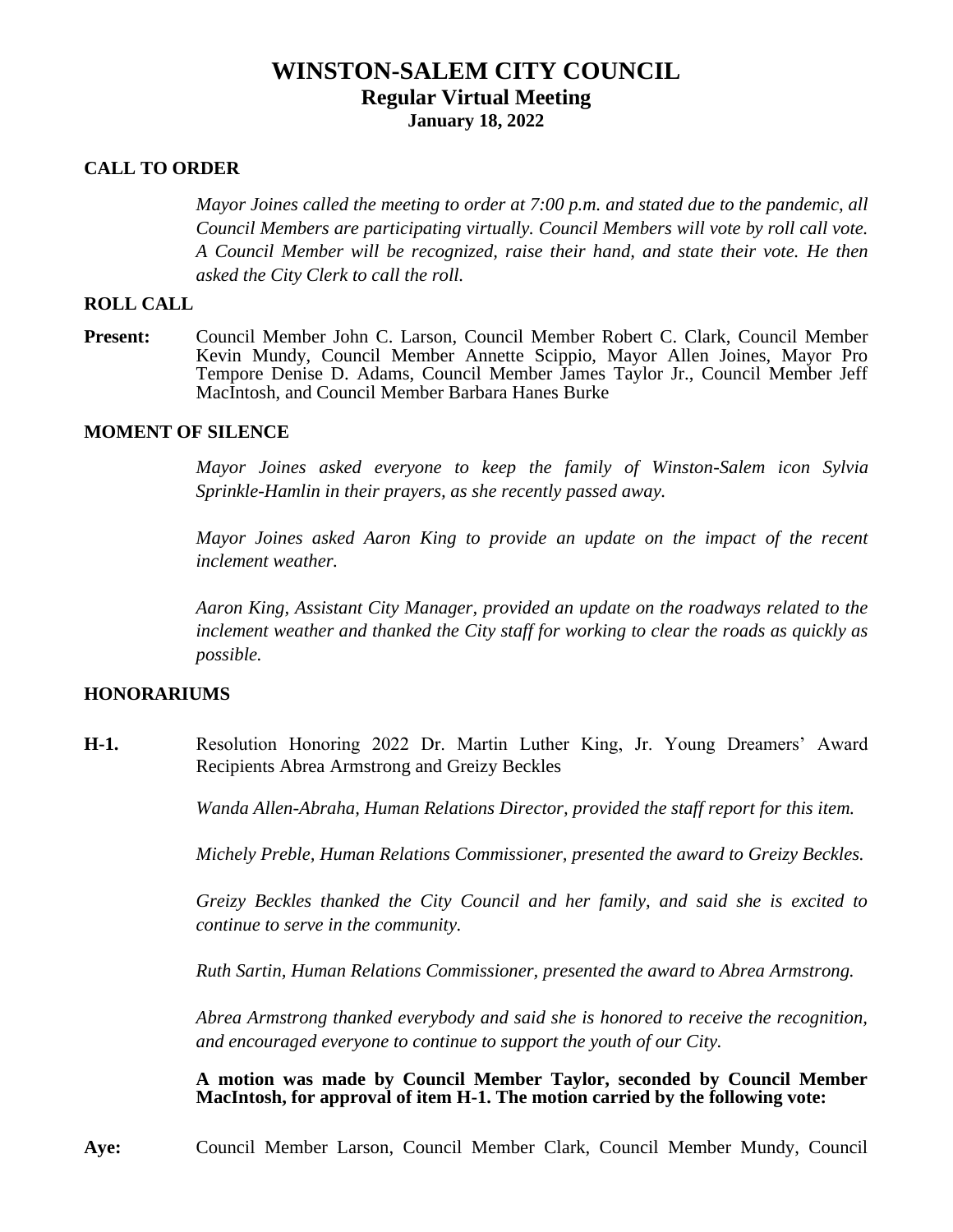# **WINSTON-SALEM CITY COUNCIL Regular Virtual Meeting January 18, 2022**

#### **CALL TO ORDER**

*Mayor Joines called the meeting to order at 7:00 p.m. and stated due to the pandemic, all Council Members are participating virtually. Council Members will vote by roll call vote. A Council Member will be recognized, raise their hand, and state their vote. He then asked the City Clerk to call the roll.*

#### **ROLL CALL**

**Present:** Council Member John C. Larson, Council Member Robert C. Clark, Council Member Kevin Mundy, Council Member Annette Scippio, Mayor Allen Joines, Mayor Pro Tempore Denise D. Adams, Council Member James Taylor Jr., Council Member Jeff MacIntosh, and Council Member Barbara Hanes Burke

#### **MOMENT OF SILENCE**

*Mayor Joines asked everyone to keep the family of Winston-Salem icon Sylvia Sprinkle-Hamlin in their prayers, as she recently passed away.*

*Mayor Joines asked Aaron King to provide an update on the impact of the recent inclement weather.*

*Aaron King, Assistant City Manager, provided an update on the roadways related to the inclement weather and thanked the City staff for working to clear the roads as quickly as possible.*

### **HONORARIUMS**

**H-1.** Resolution Honoring 2022 Dr. Martin Luther King, Jr. Young Dreamers' Award Recipients Abrea Armstrong and Greizy Beckles

*Wanda Allen-Abraha, Human Relations Director, provided the staff report for this item.*

*Michely Preble, Human Relations Commissioner, presented the award to Greizy Beckles.*

*Greizy Beckles thanked the City Council and her family, and said she is excited to continue to serve in the community.*

*Ruth Sartin, Human Relations Commissioner, presented the award to Abrea Armstrong.*

*Abrea Armstrong thanked everybody and said she is honored to receive the recognition, and encouraged everyone to continue to support the youth of our City.*

**A motion was made by Council Member Taylor, seconded by Council Member MacIntosh, for approval of item H-1. The motion carried by the following vote:**

**Aye:** Council Member Larson, Council Member Clark, Council Member Mundy, Council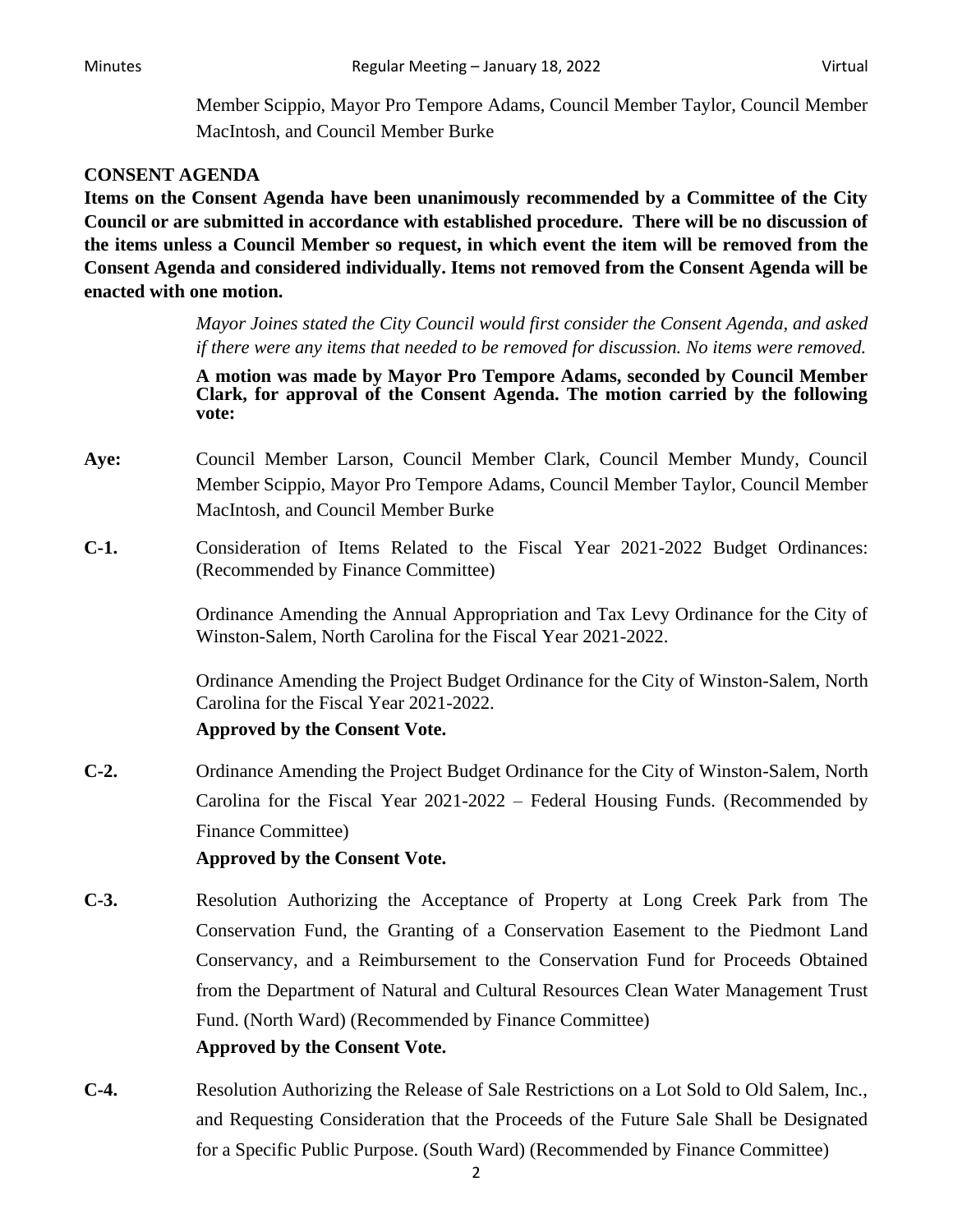Member Scippio, Mayor Pro Tempore Adams, Council Member Taylor, Council Member MacIntosh, and Council Member Burke

# **CONSENT AGENDA**

**Items on the Consent Agenda have been unanimously recommended by a Committee of the City Council or are submitted in accordance with established procedure. There will be no discussion of the items unless a Council Member so request, in which event the item will be removed from the Consent Agenda and considered individually. Items not removed from the Consent Agenda will be enacted with one motion.**

> *Mayor Joines stated the City Council would first consider the Consent Agenda, and asked if there were any items that needed to be removed for discussion. No items were removed.*

> **A motion was made by Mayor Pro Tempore Adams, seconded by Council Member Clark, for approval of the Consent Agenda. The motion carried by the following vote:**

- **Aye:** Council Member Larson, Council Member Clark, Council Member Mundy, Council Member Scippio, Mayor Pro Tempore Adams, Council Member Taylor, Council Member MacIntosh, and Council Member Burke
- **C-1.** Consideration of Items Related to the Fiscal Year 2021-2022 Budget Ordinances: (Recommended by Finance Committee)

Ordinance Amending the Annual Appropriation and Tax Levy Ordinance for the City of Winston-Salem, North Carolina for the Fiscal Year 2021-2022.

Ordinance Amending the Project Budget Ordinance for the City of Winston-Salem, North Carolina for the Fiscal Year 2021-2022.

# **Approved by the Consent Vote.**

**C-2.** Ordinance Amending the Project Budget Ordinance for the City of Winston-Salem, North Carolina for the Fiscal Year 2021-2022 – Federal Housing Funds. (Recommended by Finance Committee)

- **C-3.** Resolution Authorizing the Acceptance of Property at Long Creek Park from The Conservation Fund, the Granting of a Conservation Easement to the Piedmont Land Conservancy, and a Reimbursement to the Conservation Fund for Proceeds Obtained from the Department of Natural and Cultural Resources Clean Water Management Trust Fund. (North Ward) (Recommended by Finance Committee) **Approved by the Consent Vote.**
- **C-4.** Resolution Authorizing the Release of Sale Restrictions on a Lot Sold to Old Salem, Inc., and Requesting Consideration that the Proceeds of the Future Sale Shall be Designated for a Specific Public Purpose. (South Ward) (Recommended by Finance Committee)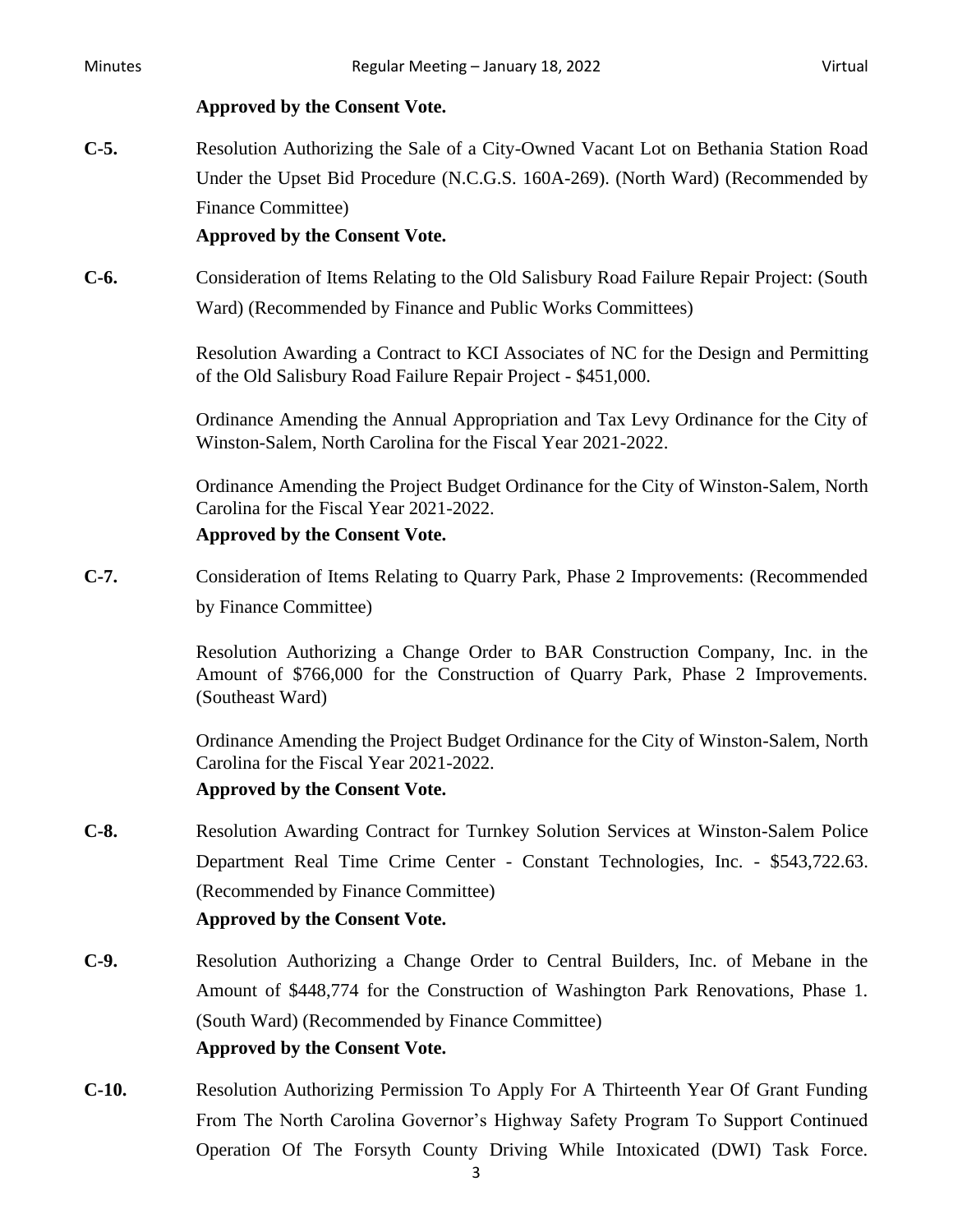#### **Approved by the Consent Vote.**

**C-5.** Resolution Authorizing the Sale of a City-Owned Vacant Lot on Bethania Station Road Under the Upset Bid Procedure (N.C.G.S. 160A-269). (North Ward) (Recommended by Finance Committee)

### **Approved by the Consent Vote.**

**C-6.** Consideration of Items Relating to the Old Salisbury Road Failure Repair Project: (South Ward) (Recommended by Finance and Public Works Committees)

> Resolution Awarding a Contract to KCI Associates of NC for the Design and Permitting of the Old Salisbury Road Failure Repair Project - \$451,000.

> Ordinance Amending the Annual Appropriation and Tax Levy Ordinance for the City of Winston-Salem, North Carolina for the Fiscal Year 2021-2022.

> Ordinance Amending the Project Budget Ordinance for the City of Winston-Salem, North Carolina for the Fiscal Year 2021-2022.

### **Approved by the Consent Vote.**

**C-7.** Consideration of Items Relating to Quarry Park, Phase 2 Improvements: (Recommended by Finance Committee)

> Resolution Authorizing a Change Order to BAR Construction Company, Inc. in the Amount of \$766,000 for the Construction of Quarry Park, Phase 2 Improvements. (Southeast Ward)

> Ordinance Amending the Project Budget Ordinance for the City of Winston-Salem, North Carolina for the Fiscal Year 2021-2022.

### **Approved by the Consent Vote.**

**C-8.** Resolution Awarding Contract for Turnkey Solution Services at Winston-Salem Police Department Real Time Crime Center - Constant Technologies, Inc. - \$543,722.63. (Recommended by Finance Committee)

- **C-9.** Resolution Authorizing a Change Order to Central Builders, Inc. of Mebane in the Amount of \$448,774 for the Construction of Washington Park Renovations, Phase 1. (South Ward) (Recommended by Finance Committee) **Approved by the Consent Vote.**
- **C-10.** Resolution Authorizing Permission To Apply For A Thirteenth Year Of Grant Funding From The North Carolina Governor's Highway Safety Program To Support Continued Operation Of The Forsyth County Driving While Intoxicated (DWI) Task Force.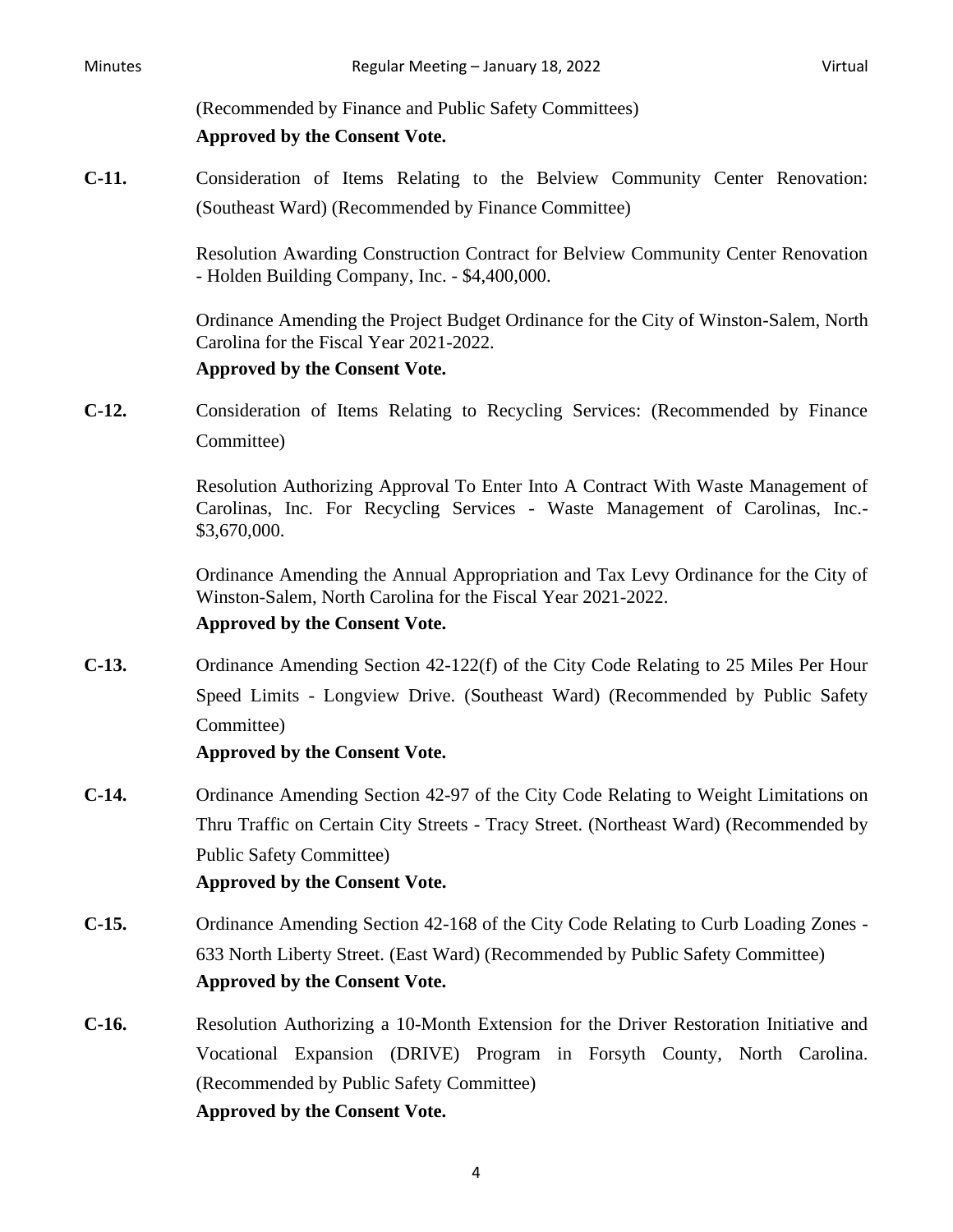(Recommended by Finance and Public Safety Committees)

### **Approved by the Consent Vote.**

**C-11.** Consideration of Items Relating to the Belview Community Center Renovation: (Southeast Ward) (Recommended by Finance Committee)

> Resolution Awarding Construction Contract for Belview Community Center Renovation - Holden Building Company, Inc. - \$4,400,000.

> Ordinance Amending the Project Budget Ordinance for the City of Winston-Salem, North Carolina for the Fiscal Year 2021-2022.

### **Approved by the Consent Vote.**

**C-12.** Consideration of Items Relating to Recycling Services: (Recommended by Finance Committee)

> Resolution Authorizing Approval To Enter Into A Contract With Waste Management of Carolinas, Inc. For Recycling Services - Waste Management of Carolinas, Inc.- \$3,670,000.

> Ordinance Amending the Annual Appropriation and Tax Levy Ordinance for the City of Winston-Salem, North Carolina for the Fiscal Year 2021-2022.

### **Approved by the Consent Vote.**

**C-13.** Ordinance Amending Section 42-122(f) of the City Code Relating to 25 Miles Per Hour Speed Limits - Longview Drive. (Southeast Ward) (Recommended by Public Safety Committee)

- **C-14.** Ordinance Amending Section 42-97 of the City Code Relating to Weight Limitations on Thru Traffic on Certain City Streets - Tracy Street. (Northeast Ward) (Recommended by Public Safety Committee) **Approved by the Consent Vote.**
- **C-15.** Ordinance Amending Section 42-168 of the City Code Relating to Curb Loading Zones 633 North Liberty Street. (East Ward) (Recommended by Public Safety Committee) **Approved by the Consent Vote.**
- **C-16.** Resolution Authorizing a 10-Month Extension for the Driver Restoration Initiative and Vocational Expansion (DRIVE) Program in Forsyth County, North Carolina. (Recommended by Public Safety Committee) **Approved by the Consent Vote.**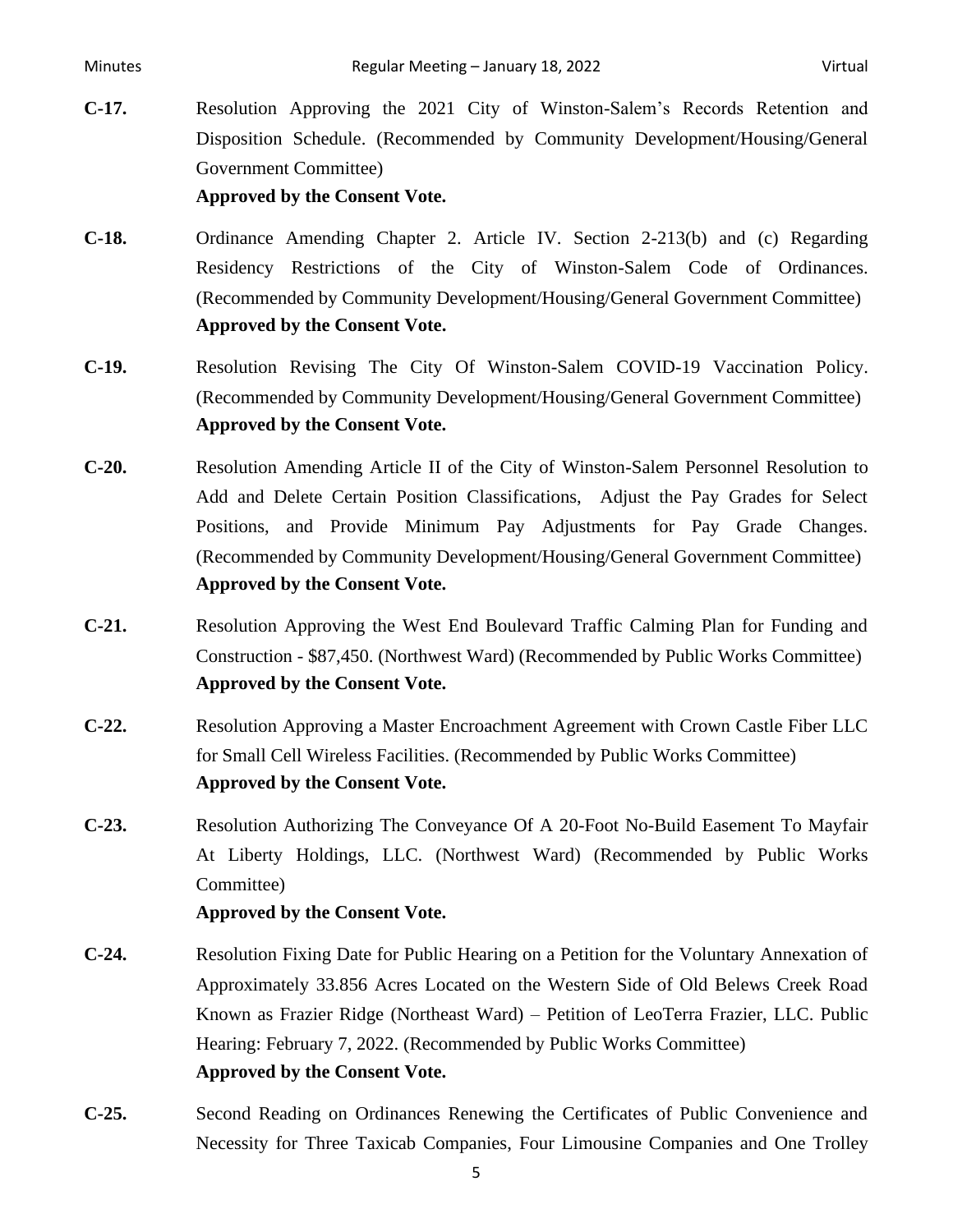**C-17.** Resolution Approving the 2021 City of Winston-Salem's Records Retention and Disposition Schedule. (Recommended by Community Development/Housing/General Government Committee)

**Approved by the Consent Vote.**

- **C-18.** Ordinance Amending Chapter 2. Article IV. Section 2-213(b) and (c) Regarding Residency Restrictions of the City of Winston-Salem Code of Ordinances. (Recommended by Community Development/Housing/General Government Committee) **Approved by the Consent Vote.**
- **C-19.** Resolution Revising The City Of Winston-Salem COVID-19 Vaccination Policy. (Recommended by Community Development/Housing/General Government Committee) **Approved by the Consent Vote.**
- **C-20.** Resolution Amending Article II of the City of Winston-Salem Personnel Resolution to Add and Delete Certain Position Classifications, Adjust the Pay Grades for Select Positions, and Provide Minimum Pay Adjustments for Pay Grade Changes. (Recommended by Community Development/Housing/General Government Committee) **Approved by the Consent Vote.**
- **C-21.** Resolution Approving the West End Boulevard Traffic Calming Plan for Funding and Construction - \$87,450. (Northwest Ward) (Recommended by Public Works Committee) **Approved by the Consent Vote.**
- **C-22.** Resolution Approving a Master Encroachment Agreement with Crown Castle Fiber LLC for Small Cell Wireless Facilities. (Recommended by Public Works Committee) **Approved by the Consent Vote.**
- **C-23.** Resolution Authorizing The Conveyance Of A 20-Foot No-Build Easement To Mayfair At Liberty Holdings, LLC. (Northwest Ward) (Recommended by Public Works Committee)

- **C-24.** Resolution Fixing Date for Public Hearing on a Petition for the Voluntary Annexation of Approximately 33.856 Acres Located on the Western Side of Old Belews Creek Road Known as Frazier Ridge (Northeast Ward) – Petition of LeoTerra Frazier, LLC. Public Hearing: February 7, 2022. (Recommended by Public Works Committee) **Approved by the Consent Vote.**
- **C-25.** Second Reading on Ordinances Renewing the Certificates of Public Convenience and Necessity for Three Taxicab Companies, Four Limousine Companies and One Trolley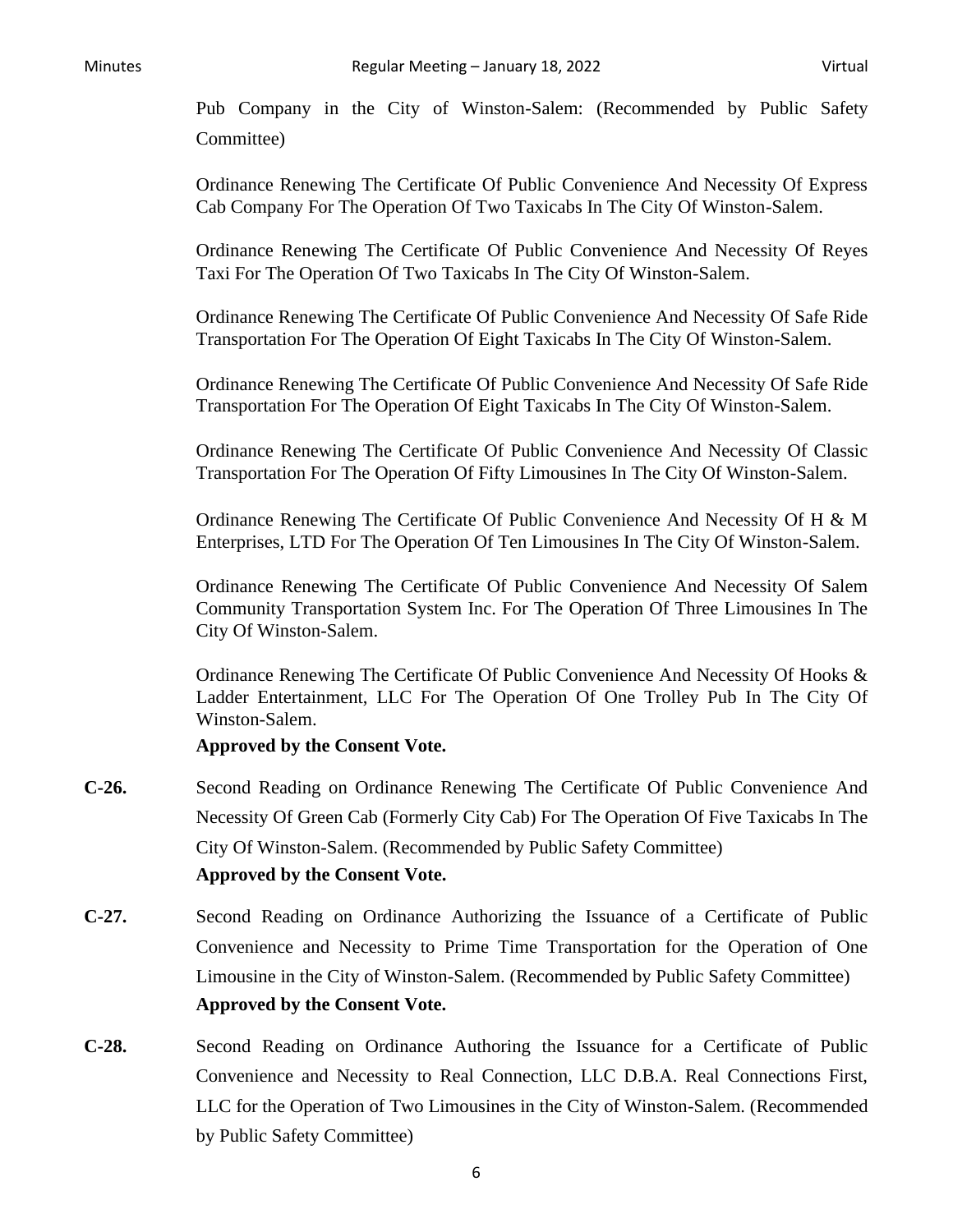Pub Company in the City of Winston-Salem: (Recommended by Public Safety Committee)

Ordinance Renewing The Certificate Of Public Convenience And Necessity Of Express Cab Company For The Operation Of Two Taxicabs In The City Of Winston-Salem.

Ordinance Renewing The Certificate Of Public Convenience And Necessity Of Reyes Taxi For The Operation Of Two Taxicabs In The City Of Winston-Salem.

Ordinance Renewing The Certificate Of Public Convenience And Necessity Of Safe Ride Transportation For The Operation Of Eight Taxicabs In The City Of Winston-Salem.

Ordinance Renewing The Certificate Of Public Convenience And Necessity Of Safe Ride Transportation For The Operation Of Eight Taxicabs In The City Of Winston-Salem.

Ordinance Renewing The Certificate Of Public Convenience And Necessity Of Classic Transportation For The Operation Of Fifty Limousines In The City Of Winston-Salem.

Ordinance Renewing The Certificate Of Public Convenience And Necessity Of H & M Enterprises, LTD For The Operation Of Ten Limousines In The City Of Winston-Salem.

Ordinance Renewing The Certificate Of Public Convenience And Necessity Of Salem Community Transportation System Inc. For The Operation Of Three Limousines In The City Of Winston-Salem.

Ordinance Renewing The Certificate Of Public Convenience And Necessity Of Hooks & Ladder Entertainment, LLC For The Operation Of One Trolley Pub In The City Of Winston-Salem.

- **C-26.** Second Reading on Ordinance Renewing The Certificate Of Public Convenience And Necessity Of Green Cab (Formerly City Cab) For The Operation Of Five Taxicabs In The City Of Winston-Salem. (Recommended by Public Safety Committee) **Approved by the Consent Vote.**
- **C-27.** Second Reading on Ordinance Authorizing the Issuance of a Certificate of Public Convenience and Necessity to Prime Time Transportation for the Operation of One Limousine in the City of Winston-Salem. (Recommended by Public Safety Committee) **Approved by the Consent Vote.**
- **C-28.** Second Reading on Ordinance Authoring the Issuance for a Certificate of Public Convenience and Necessity to Real Connection, LLC D.B.A. Real Connections First, LLC for the Operation of Two Limousines in the City of Winston-Salem. (Recommended by Public Safety Committee)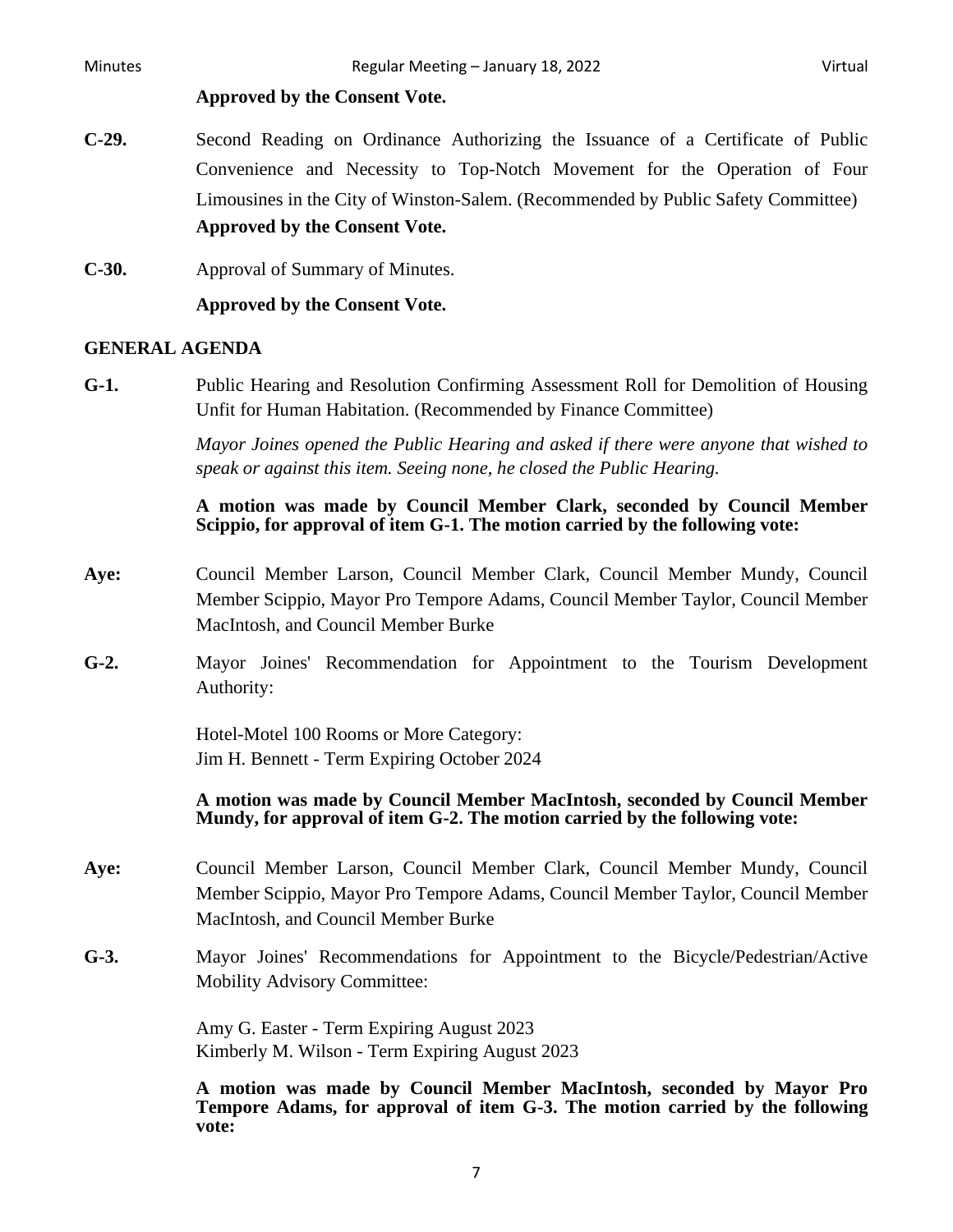#### **Approved by the Consent Vote.**

- **C-29.** Second Reading on Ordinance Authorizing the Issuance of a Certificate of Public Convenience and Necessity to Top-Notch Movement for the Operation of Four Limousines in the City of Winston-Salem. (Recommended by Public Safety Committee) **Approved by the Consent Vote.**
- **C-30.** Approval of Summary of Minutes.

**Approved by the Consent Vote.**

### **GENERAL AGENDA**

**G-1.** Public Hearing and Resolution Confirming Assessment Roll for Demolition of Housing Unfit for Human Habitation. (Recommended by Finance Committee)

> *Mayor Joines opened the Public Hearing and asked if there were anyone that wished to speak or against this item. Seeing none, he closed the Public Hearing.*

### **A motion was made by Council Member Clark, seconded by Council Member Scippio, for approval of item G-1. The motion carried by the following vote:**

- **Aye:** Council Member Larson, Council Member Clark, Council Member Mundy, Council Member Scippio, Mayor Pro Tempore Adams, Council Member Taylor, Council Member MacIntosh, and Council Member Burke
- **G-2.** Mayor Joines' Recommendation for Appointment to the Tourism Development Authority:

Hotel-Motel 100 Rooms or More Category: Jim H. Bennett - Term Expiring October 2024

### **A motion was made by Council Member MacIntosh, seconded by Council Member Mundy, for approval of item G-2. The motion carried by the following vote:**

- **Aye:** Council Member Larson, Council Member Clark, Council Member Mundy, Council Member Scippio, Mayor Pro Tempore Adams, Council Member Taylor, Council Member MacIntosh, and Council Member Burke
- **G-3.** Mayor Joines' Recommendations for Appointment to the Bicycle/Pedestrian/Active Mobility Advisory Committee:

Amy G. Easter - Term Expiring August 2023 Kimberly M. Wilson - Term Expiring August 2023

**A motion was made by Council Member MacIntosh, seconded by Mayor Pro Tempore Adams, for approval of item G-3. The motion carried by the following vote:**